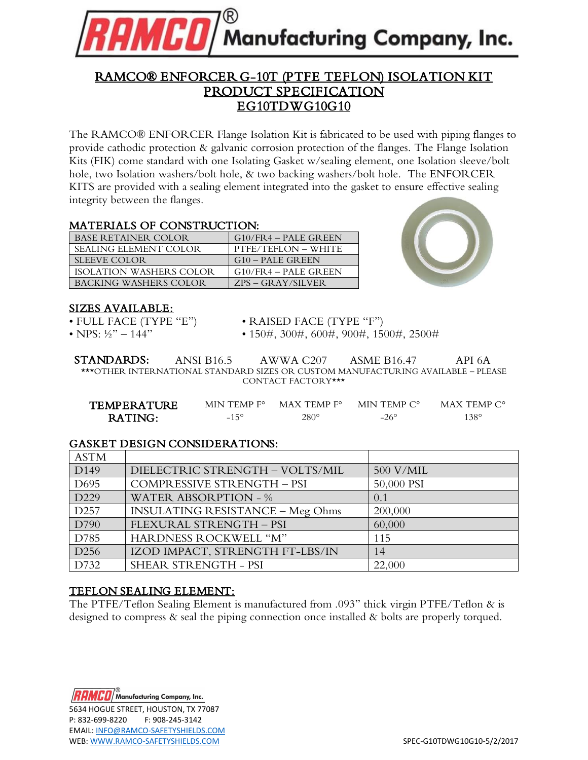

# RAMCO® ENFORCER G-10T (PTFE TEFLON) ISOLATION KIT PRODUCT SPECIFICATION EG10TDWG10G10

The RAMCO® ENFORCER Flange Isolation Kit is fabricated to be used with piping flanges to provide cathodic protection & galvanic corrosion protection of the flanges. The Flange Isolation Kits (FIK) come standard with one Isolating Gasket w/sealing element, one Isolation sleeve/bolt hole, two Isolation washers/bolt hole, & two backing washers/bolt hole. The ENFORCER KITS are provided with a sealing element integrated into the gasket to ensure effective sealing integrity between the flanges.

#### MATERIALS OF CONSTRUCTION:

| <b>BASE RETAINER COLOR</b>   | $G10$ /FR4 – PALE GREEN |
|------------------------------|-------------------------|
| <b>SEALING ELEMENT COLOR</b> | PTFE/TEFLON – WHITE     |
| <b>SLEEVE COLOR</b>          | G10 – PALE GREEN        |
| ISOLATION WASHERS COLOR      | $G10$ /FR4 – PALE GREEN |
| BACKING WASHERS COLOR        | $ZPS - GRAY/SILVER$     |



#### SIZES AVAILABLE:

- 
- 
- FULL FACE (TYPE "E") RAISED FACE (TYPE "F")
- NPS:  $\frac{1}{2}$ " 144" 150#, 300#, 600#, 900#, 1500#, 2500#

STANDARDS: ANSI B16.5 AWWA C207 ASME B16.47 API 6A \*\*\*OTHER INTERNATIONAL STANDARD SIZES OR CUSTOM MANUFACTURING AVAILABLE – PLEASE CONTACT FACTORY\*\*\*

| TEMPERATURE | $MIN$ TEMP $F^{\circ}$ | $MAX$ TEMP $F^{\circ}$ | MIN TEMP C° | MAX TEMP $C^{\circ}$ |
|-------------|------------------------|------------------------|-------------|----------------------|
| RATING:     | $-15^{\circ}$          | 280°                   | $-26^\circ$ | 138°                 |

# GASKET DESIGN CONSIDERATIONS:

| <b>ASTM</b>      |                                         |            |
|------------------|-----------------------------------------|------------|
| D <sub>149</sub> | DIELECTRIC STRENGTH - VOLTS/MIL         | 500 V/MIL  |
| D <sub>695</sub> | COMPRESSIVE STRENGTH - PSI              | 50,000 PSI |
| D229             | <b>WATER ABSORPTION - %</b>             | 0.1        |
| D <sub>257</sub> | <b>INSULATING RESISTANCE - Meg Ohms</b> | 200,000    |
| D790             | FLEXURAL STRENGTH - PSI                 | 60,000     |
| D785             | HARDNESS ROCKWELL "M"                   | 115        |
| D <sub>256</sub> | IZOD IMPACT, STRENGTH FT-LBS/IN         | 14         |
| D732             | SHEAR STRENGTH - PSI                    | 22,000     |

# TEFLON SEALING ELEMENT:

The PTFE/Teflon Sealing Element is manufactured from .093" thick virgin PTFE/Teflon & is designed to compress & seal the piping connection once installed & bolts are properly torqued.

**MCD** Manufacturing Company, Inc. 5634 HOGUE STREET, HOUSTON, TX 77087 P: 832-699-8220 F: 908-245-3142 EMAIL: [INFO@RAMCO-SAFETYSHIELDS.COM](mailto:INFO@RAMCO-SAFETYSHIELDS.COM) WEB[: WWW.RAMCO-SAFETYSHIELDS.COM](http://www.ramco-safetyshields.com/) SPEC-G10TDWG10G10-5/2/2017